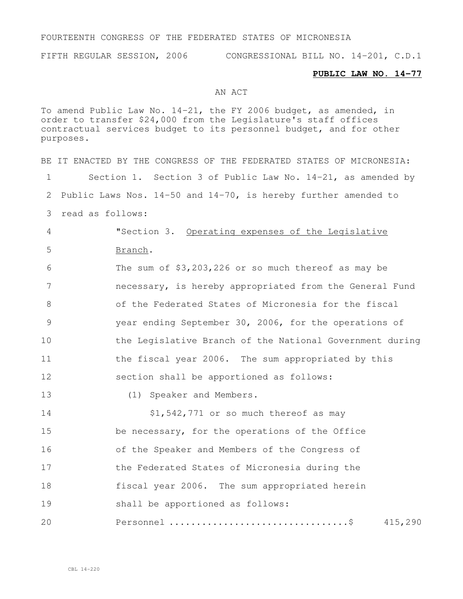## FOURTEENTH CONGRESS OF THE FEDERATED STATES OF MICRONESIA

FIFTH REGULAR SESSION, 2006 CONGRESSIONAL BILL NO. 14-201, C.D.1

## **PUBLIC LAW NO. 14-77**

## AN ACT

To amend Public Law No. 14-21, the FY 2006 budget, as amended, in order to transfer \$24,000 from the Legislature's staff offices contractual services budget to its personnel budget, and for other purposes.

BE IT ENACTED BY THE CONGRESS OF THE FEDERATED STATES OF MICRONESIA: Section 1. Section 3 of Public Law No. 14-21, as amended by Public Laws Nos. 14-50 and 14-70, is hereby further amended to read as follows: "Section 3. Operating expenses of the Legislative 5 Branch. The sum of \$3,203,226 or so much thereof as may be necessary, is hereby appropriated from the General Fund of the Federated States of Micronesia for the fiscal year ending September 30, 2006, for the operations of **the Legislative Branch of the National Government during** 11 the fiscal year 2006. The sum appropriated by this section shall be apportioned as follows: (1) Speaker and Members. 14 \$1,542,771 or so much thereof as may be necessary, for the operations of the Office of the Speaker and Members of the Congress of the Federated States of Micronesia during the fiscal year 2006. The sum appropriated herein shall be apportioned as follows: Personnel .................................\$ 415,290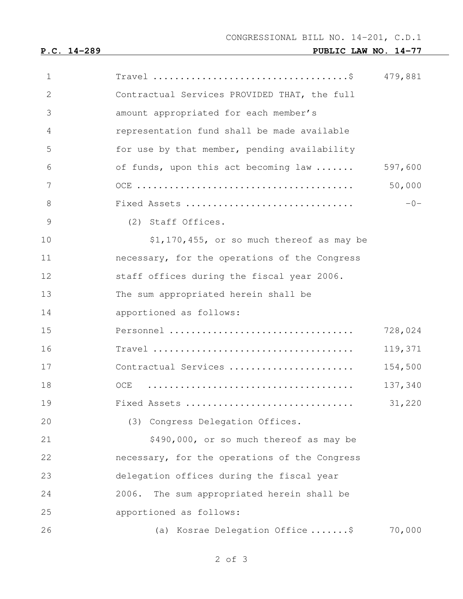**P.C. 14-289 PUBLIC LAW NO. 14-77**

| 1  | $Travel \dots \dots \dots \dots \dots \dots \dots \dots \dots \dots \dots$ | 479,881 |
|----|----------------------------------------------------------------------------|---------|
| 2  | Contractual Services PROVIDED THAT, the full                               |         |
| 3  | amount appropriated for each member's                                      |         |
| 4  | representation fund shall be made available                                |         |
| 5  | for use by that member, pending availability                               |         |
| 6  | of funds, upon this act becoming law                                       | 597,600 |
| 7  |                                                                            | 50,000  |
| 8  | Fixed Assets                                                               | $-0-$   |
| 9  | (2) Staff Offices.                                                         |         |
| 10 | \$1,170,455, or so much thereof as may be                                  |         |
| 11 | necessary, for the operations of the Congress                              |         |
| 12 | staff offices during the fiscal year 2006.                                 |         |
| 13 | The sum appropriated herein shall be                                       |         |
| 14 | apportioned as follows:                                                    |         |
| 15 | Personnel                                                                  | 728,024 |
| 16 |                                                                            | 119,371 |
| 17 | Contractual Services                                                       | 154,500 |
| 18 | OCE                                                                        | 137,340 |
| 19 | Fixed Assets                                                               | 31,220  |
| 20 | (3) Congress Delegation Offices.                                           |         |
| 21 | \$490,000, or so much thereof as may be                                    |         |
| 22 | necessary, for the operations of the Congress                              |         |
| 23 | delegation offices during the fiscal year                                  |         |
| 24 | 2006.<br>The sum appropriated herein shall be                              |         |
| 25 | apportioned as follows:                                                    |         |
| 26 | (a) Kosrae Delegation Office \$                                            | 70,000  |
|    |                                                                            |         |